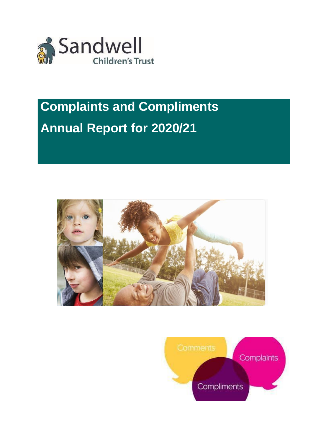

# **Complaints and Compliments Annual Report for 2020/21**



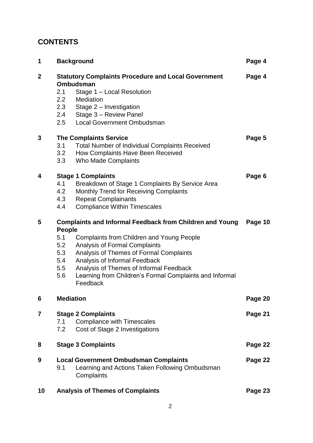# **CONTENTS**

| 1              |               | <b>Background</b>                                                                                            | Page 4  |  |  |
|----------------|---------------|--------------------------------------------------------------------------------------------------------------|---------|--|--|
| $\overline{2}$ |               | <b>Statutory Complaints Procedure and Local Government</b><br><b>Ombudsman</b>                               | Page 4  |  |  |
|                | 2.1           | Stage 1 - Local Resolution                                                                                   |         |  |  |
|                | 2.2           | Mediation                                                                                                    |         |  |  |
|                | 2.3           | Stage 2 - Investigation                                                                                      |         |  |  |
|                | 2.4           | Stage 3 - Review Panel                                                                                       |         |  |  |
|                | 2.5           | <b>Local Government Ombudsman</b>                                                                            |         |  |  |
| 3              |               | <b>The Complaints Service</b>                                                                                | Page 5  |  |  |
|                | 3.1           | <b>Total Number of Individual Complaints Received</b>                                                        |         |  |  |
|                | 3.2           | How Complaints Have Been Received                                                                            |         |  |  |
|                | 3.3           | <b>Who Made Complaints</b>                                                                                   |         |  |  |
| 4              |               | <b>Stage 1 Complaints</b>                                                                                    | Page 6  |  |  |
|                | 4.1           | Breakdown of Stage 1 Complaints By Service Area                                                              |         |  |  |
|                | 4.2           | <b>Monthly Trend for Receiving Complaints</b>                                                                |         |  |  |
|                | 4.3           | <b>Repeat Complainants</b>                                                                                   |         |  |  |
|                | 4.4           | <b>Compliance Within Timescales</b>                                                                          |         |  |  |
| 5              |               | <b>Complaints and Informal Feedback from Children and Young</b><br>Page 10                                   |         |  |  |
|                | <b>People</b> |                                                                                                              |         |  |  |
|                | 5.1           | <b>Complaints from Children and Young People</b>                                                             |         |  |  |
|                | 5.2           | <b>Analysis of Formal Complaints</b>                                                                         |         |  |  |
|                | 5.3           | Analysis of Themes of Formal Complaints                                                                      |         |  |  |
|                | 5.4           | Analysis of Informal Feedback                                                                                |         |  |  |
|                | 5.5           | Analysis of Themes of Informal Feedback                                                                      |         |  |  |
|                | 5.6           | Learning from Children's Formal Complaints and Informal<br>Feedback                                          |         |  |  |
| 6              |               | <b>Mediation</b>                                                                                             | Page 20 |  |  |
| 7              |               | <b>Stage 2 Complaints</b>                                                                                    | Page 21 |  |  |
|                | 7.1           | <b>Compliance with Timescales</b>                                                                            |         |  |  |
|                | 7.2           | Cost of Stage 2 Investigations                                                                               |         |  |  |
| 8              |               | <b>Stage 3 Complaints</b>                                                                                    | Page 22 |  |  |
| 9              | 9.1           | <b>Local Government Ombudsman Complaints</b><br>Learning and Actions Taken Following Ombudsman<br>Complaints | Page 22 |  |  |
| 10             |               | <b>Analysis of Themes of Complaints</b>                                                                      | Page 23 |  |  |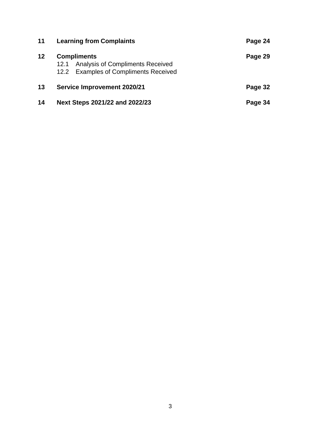| 11 | <b>Learning from Complaints</b>                                                                                | Page 24 |
|----|----------------------------------------------------------------------------------------------------------------|---------|
| 12 | <b>Compliments</b><br><b>Analysis of Compliments Received</b><br>12.1<br>12.2 Examples of Compliments Received | Page 29 |
| 13 | <b>Service Improvement 2020/21</b>                                                                             | Page 32 |
| 14 | Next Steps 2021/22 and 2022/23                                                                                 | Page 34 |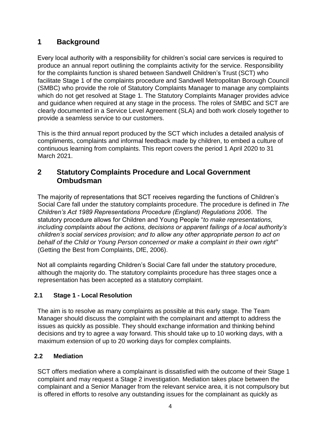# **1 Background**

Every local authority with a responsibility for children's social care services is required to produce an annual report outlining the complaints activity for the service. Responsibility for the complaints function is shared between Sandwell Children's Trust (SCT) who facilitate Stage 1 of the complaints procedure and Sandwell Metropolitan Borough Council (SMBC) who provide the role of Statutory Complaints Manager to manage any complaints which do not get resolved at Stage 1. The Statutory Complaints Manager provides advice and guidance when required at any stage in the process. The roles of SMBC and SCT are clearly documented in a Service Level Agreement (SLA) and both work closely together to provide a seamless service to our customers.

This is the third annual report produced by the SCT which includes a detailed analysis of compliments, complaints and informal feedback made by children, to embed a culture of continuous learning from complaints. This report covers the period 1 April 2020 to 31 March 2021.

# **2 Statutory Complaints Procedure and Local Government Ombudsman**

The majority of representations that SCT receives regarding the functions of Children's Social Care fall under the statutory complaints procedure. The procedure is defined in *The Children's Act 1989 Representations Procedure (England) Regulations 2006*. The statutory procedure allows for Children and Young People "*to make representations, including complaints about the actions, decisions or apparent failings of a local authority's children's social services provision; and to allow any other appropriate person to act on behalf of the Child or Young Person concerned or make a complaint in their own right"* (Getting the Best from Complaints, DfE, 2006).

Not all complaints regarding Children's Social Care fall under the statutory procedure, although the majority do. The statutory complaints procedure has three stages once a representation has been accepted as a statutory complaint.

# **2.1 Stage 1 - Local Resolution**

The aim is to resolve as many complaints as possible at this early stage. The Team Manager should discuss the complaint with the complainant and attempt to address the issues as quickly as possible. They should exchange information and thinking behind decisions and try to agree a way forward. This should take up to 10 working days, with a maximum extension of up to 20 working days for complex complaints.

#### **2.2 Mediation**

SCT offers mediation where a complainant is dissatisfied with the outcome of their Stage 1 complaint and may request a Stage 2 investigation. Mediation takes place between the complainant and a Senior Manager from the relevant service area, it is not compulsory but is offered in efforts to resolve any outstanding issues for the complainant as quickly as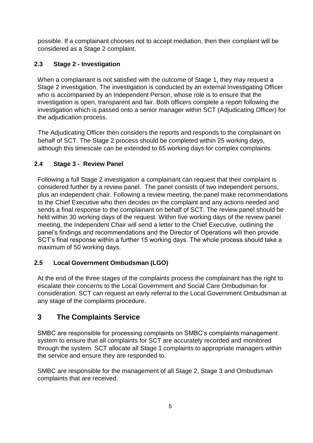possible. If a complainant chooses not to accept mediation, then their complaint will be considered as a Stage 2 complaint.

## **2.3 Stage 2 - Investigation**

When a complainant is not satisfied with the outcome of Stage 1, they may request a Stage 2 investigation. The investigation is conducted by an external Investigating Officer who is accompanied by an Independent Person, whose role is to ensure that the investigation is open, transparent and fair. Both officers complete a report following the investigation which is passed onto a senior manager within SCT (Adjudicating Officer) for the adjudication process.

The Adjudicating Officer then considers the reports and responds to the complainant on behalf of SCT. The Stage 2 process should be completed within 25 working days, although this timescale can be extended to 65 working days for complex complaints.

#### **2.4 Stage 3 - Review Panel**

Following a full Stage 2 investigation a complainant can request that their complaint is considered further by a review panel. The panel consists of two independent persons, plus an independent chair. Following a review meeting, the panel make recommendations to the Chief Executive who then decides on the complaint and any actions needed and sends a final response to the complainant on behalf of SCT. The review panel should be held within 30 working days of the request. Within five working days of the review panel meeting, the Independent Chair will send a letter to the Chief Executive, outlining the panel's findings and recommendations and the Director of Operations will then provide SCT's final response within a further 15 working days. The whole process should take a maximum of 50 working days.

# **2.5 Local Government Ombudsman (LGO)**

At the end of the three stages of the complaints process the complainant has the right to escalate their concerns to the Local Government and Social Care Ombudsman for consideration. SCT can request an early referral to the Local Government Ombudsman at any stage of the complaints procedure.

# **3 The Complaints Service**

SMBC are responsible for processing complaints on SMBC's complaints management system to ensure that all complaints for SCT are accurately recorded and monitored through the system. SCT allocate all Stage 1 complaints to appropriate managers within the service and ensure they are responded to.

SMBC are responsible for the management of all Stage 2, Stage 3 and Ombudsman complaints that are received.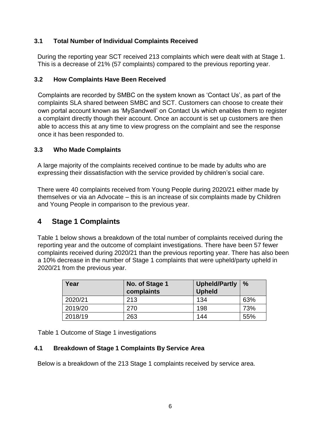#### **3.1 Total Number of Individual Complaints Received**

During the reporting year SCT received 213 complaints which were dealt with at Stage 1. This is a decrease of 21% (57 complaints) compared to the previous reporting year.

#### **3.2 How Complaints Have Been Received**

Complaints are recorded by SMBC on the system known as 'Contact Us', as part of the complaints SLA shared between SMBC and SCT. Customers can choose to create their own portal account known as 'MySandwell' on Contact Us which enables them to register a complaint directly though their account. Once an account is set up customers are then able to access this at any time to view progress on the complaint and see the response once it has been responded to.

#### **3.3 Who Made Complaints**

A large majority of the complaints received continue to be made by adults who are expressing their dissatisfaction with the service provided by children's social care.

There were 40 complaints received from Young People during 2020/21 either made by themselves or via an Advocate – this is an increase of six complaints made by Children and Young People in comparison to the previous year.

# **4 Stage 1 Complaints**

Table 1 below shows a breakdown of the total number of complaints received during the reporting year and the outcome of complaint investigations. There have been 57 fewer complaints received during 2020/21 than the previous reporting year. There has also been a 10% decrease in the number of Stage 1 complaints that were upheld/party upheld in 2020/21 from the previous year.

| Year    | No. of Stage 1<br>complaints | <b>Upheld/Partly</b><br><b>Upheld</b> | $\%$ |
|---------|------------------------------|---------------------------------------|------|
| 2020/21 | 213                          | 134                                   | 63%  |
| 2019/20 | 270                          | 198                                   | 73%  |
| 2018/19 | 263                          | 144                                   | 55%  |

Table 1 Outcome of Stage 1 investigations

#### **4.1 Breakdown of Stage 1 Complaints By Service Area**

Below is a breakdown of the 213 Stage 1 complaints received by service area.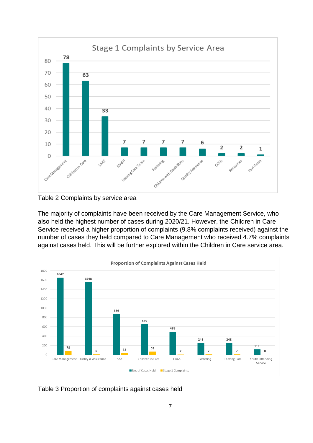



The majority of complaints have been received by the Care Management Service, who also held the highest number of cases during 2020/21. However, the Children in Care Service received a higher proportion of complaints (9.8% complaints received) against the number of cases they held compared to Care Management who received 4.7% complaints against cases held. This will be further explored within the Children in Care service area.



Table 3 Proportion of complaints against cases held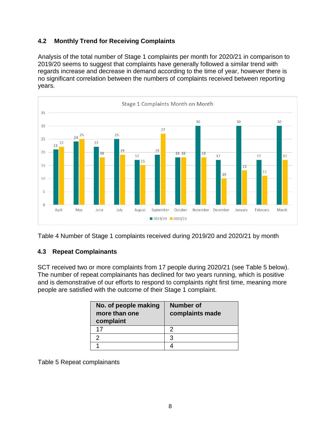# **4.2 Monthly Trend for Receiving Complaints**

Analysis of the total number of Stage 1 complaints per month for 2020/21 in comparison to 2019/20 seems to suggest that complaints have generally followed a similar trend with regards increase and decrease in demand according to the time of year, however there is no significant correlation between the numbers of complaints received between reporting years.



Table 4 Number of Stage 1 complaints received during 2019/20 and 2020/21 by month

#### **4.3 Repeat Complainants**

SCT received two or more complaints from 17 people during 2020/21 (see Table 5 below). The number of repeat complainants has declined for two years running, which is positive and is demonstrative of our efforts to respond to complaints right first time, meaning more people are satisfied with the outcome of their Stage 1 complaint.

| No. of people making<br>more than one<br>complaint | <b>Number of</b><br>complaints made |
|----------------------------------------------------|-------------------------------------|
| 17                                                 | っ                                   |
|                                                    | З                                   |
|                                                    |                                     |

Table 5 Repeat complainants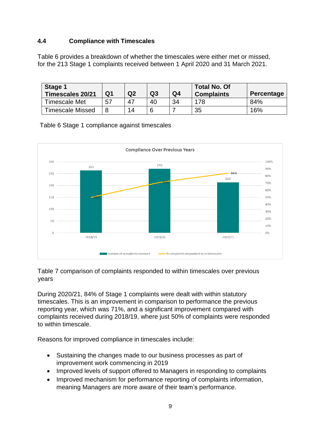#### **4.4 Compliance with Timescales**

Table 6 provides a breakdown of whether the timescales were either met or missed, for the 213 Stage 1 complaints received between 1 April 2020 and 31 March 2021.

| Stage 1<br><b>Timescales 20/21</b> | Q <sub>1</sub> | Q2 | Q3 | Q4 | <b>Total No. Of</b><br><b>Complaints</b> | Percentage |
|------------------------------------|----------------|----|----|----|------------------------------------------|------------|
| <b>Timescale Met</b>               | 57             | 47 | 40 | 34 | 178                                      | 84%        |
| <b>Timescale Missed</b>            |                | 14 |    |    | 35                                       | 16%        |

Table 6 Stage 1 compliance against timescales



Table 7 comparison of complaints responded to within timescales over previous years

During 2020/21, 84% of Stage 1 complaints were dealt with within statutory timescales. This is an improvement in comparison to performance the previous reporting year, which was 71%, and a significant improvement compared with complaints received during 2018/19, where just 50% of complaints were responded to within timescale.

Reasons for improved compliance in timescales include:

- Sustaining the changes made to our business processes as part of improvement work commencing in 2019
- Improved levels of support offered to Managers in responding to complaints
- Improved mechanism for performance reporting of complaints information, meaning Managers are more aware of their team's performance.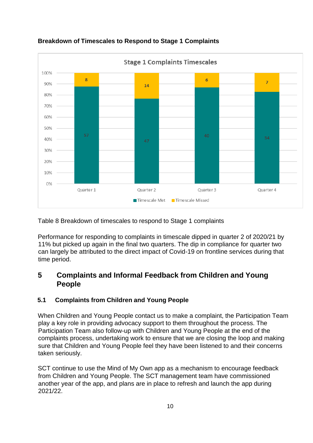

## **Breakdown of Timescales to Respond to Stage 1 Complaints**

Table 8 Breakdown of timescales to respond to Stage 1 complaints

Performance for responding to complaints in timescale dipped in quarter 2 of 2020/21 by 11% but picked up again in the final two quarters. The dip in compliance for quarter two can largely be attributed to the direct impact of Covid-19 on frontline services during that time period.

# **5 Complaints and Informal Feedback from Children and Young People**

#### **5.1 Complaints from Children and Young People**

When Children and Young People contact us to make a complaint, the Participation Team play a key role in providing advocacy support to them throughout the process. The Participation Team also follow-up with Children and Young People at the end of the complaints process, undertaking work to ensure that we are closing the loop and making sure that Children and Young People feel they have been listened to and their concerns taken seriously.

SCT continue to use the Mind of My Own app as a mechanism to encourage feedback from Children and Young People. The SCT management team have commissioned another year of the app, and plans are in place to refresh and launch the app during 2021/22.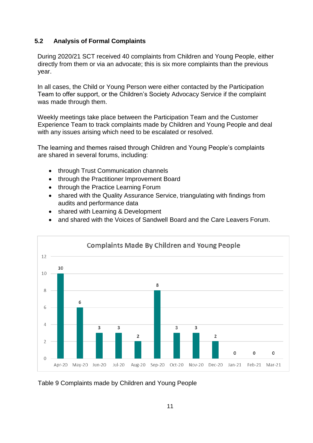#### **5.2 Analysis of Formal Complaints**

During 2020/21 SCT received 40 complaints from Children and Young People, either directly from them or via an advocate; this is six more complaints than the previous year.

In all cases, the Child or Young Person were either contacted by the Participation Team to offer support, or the Children's Society Advocacy Service if the complaint was made through them.

Weekly meetings take place between the Participation Team and the Customer Experience Team to track complaints made by Children and Young People and deal with any issues arising which need to be escalated or resolved.

The learning and themes raised through Children and Young People's complaints are shared in several forums, including:

- through Trust Communication channels
- through the Practitioner Improvement Board
- through the Practice Learning Forum
- shared with the Quality Assurance Service, triangulating with findings from audits and performance data
- shared with Learning & Development
- and shared with the Voices of Sandwell Board and the Care Leavers Forum.



Table 9 Complaints made by Children and Young People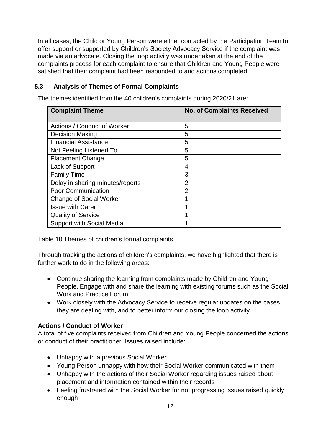In all cases, the Child or Young Person were either contacted by the Participation Team to offer support or supported by Children's Society Advocacy Service if the complaint was made via an advocate. Closing the loop activity was undertaken at the end of the complaints process for each complaint to ensure that Children and Young People were satisfied that their complaint had been responded to and actions completed.

## **5.3 Analysis of Themes of Formal Complaints**

The themes identified from the 40 children's complaints during 2020/21 are:

| <b>Complaint Theme</b>           | <b>No. of Complaints Received</b> |
|----------------------------------|-----------------------------------|
| Actions / Conduct of Worker      | 5                                 |
| <b>Decision Making</b>           | 5                                 |
| <b>Financial Assistance</b>      | 5                                 |
| Not Feeling Listened To          | 5                                 |
| <b>Placement Change</b>          | 5                                 |
| Lack of Support                  | 4                                 |
| <b>Family Time</b>               | 3                                 |
| Delay in sharing minutes/reports | $\overline{2}$                    |
| <b>Poor Communication</b>        | $\overline{2}$                    |
| <b>Change of Social Worker</b>   | 1                                 |
| <b>Issue with Carer</b>          | 1                                 |
| <b>Quality of Service</b>        | 1                                 |
| <b>Support with Social Media</b> | 1                                 |

Table 10 Themes of children's formal complaints

Through tracking the actions of children's complaints, we have highlighted that there is further work to do in the following areas:

- Continue sharing the learning from complaints made by Children and Young People. Engage with and share the learning with existing forums such as the Social Work and Practice Forum
- Work closely with the Advocacy Service to receive regular updates on the cases they are dealing with, and to better inform our closing the loop activity.

#### **Actions / Conduct of Worker**

A total of five complaints received from Children and Young People concerned the actions or conduct of their practitioner. Issues raised include:

- Unhappy with a previous Social Worker
- Young Person unhappy with how their Social Worker communicated with them
- Unhappy with the actions of their Social Worker regarding issues raised about placement and information contained within their records
- Feeling frustrated with the Social Worker for not progressing issues raised quickly enough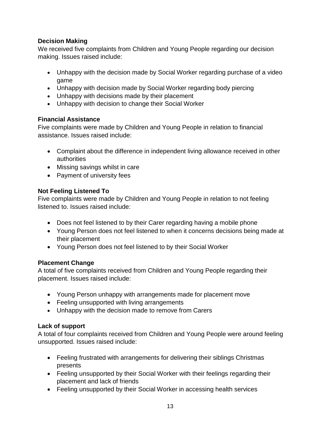## **Decision Making**

We received five complaints from Children and Young People regarding our decision making. Issues raised include:

- Unhappy with the decision made by Social Worker regarding purchase of a video game
- Unhappy with decision made by Social Worker regarding body piercing
- Unhappy with decisions made by their placement
- Unhappy with decision to change their Social Worker

## **Financial Assistance**

Five complaints were made by Children and Young People in relation to financial assistance. Issues raised include:

- Complaint about the difference in independent living allowance received in other authorities
- Missing savings whilst in care
- Payment of university fees

## **Not Feeling Listened To**

Five complaints were made by Children and Young People in relation to not feeling listened to. Issues raised include:

- Does not feel listened to by their Carer regarding having a mobile phone
- Young Person does not feel listened to when it concerns decisions being made at their placement
- Young Person does not feel listened to by their Social Worker

# **Placement Change**

A total of five complaints received from Children and Young People regarding their placement. Issues raised include:

- Young Person unhappy with arrangements made for placement move
- Feeling unsupported with living arrangements
- Unhappy with the decision made to remove from Carers

#### **Lack of support**

A total of four complaints received from Children and Young People were around feeling unsupported. Issues raised include:

- Feeling frustrated with arrangements for delivering their siblings Christmas presents
- Feeling unsupported by their Social Worker with their feelings regarding their placement and lack of friends
- Feeling unsupported by their Social Worker in accessing health services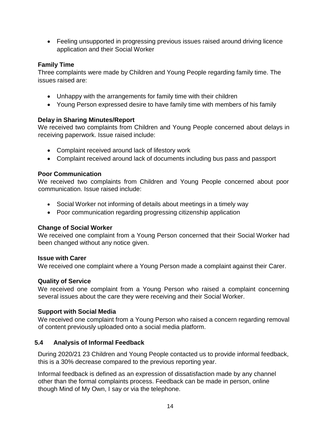• Feeling unsupported in progressing previous issues raised around driving licence application and their Social Worker

#### **Family Time**

Three complaints were made by Children and Young People regarding family time. The issues raised are:

- Unhappy with the arrangements for family time with their children
- Young Person expressed desire to have family time with members of his family

#### **Delay in Sharing Minutes/Report**

We received two complaints from Children and Young People concerned about delays in receiving paperwork. Issue raised include:

- Complaint received around lack of lifestory work
- Complaint received around lack of documents including bus pass and passport

#### **Poor Communication**

We received two complaints from Children and Young People concerned about poor communication. Issue raised include:

- Social Worker not informing of details about meetings in a timely way
- Poor communication regarding progressing citizenship application

#### **Change of Social Worker**

We received one complaint from a Young Person concerned that their Social Worker had been changed without any notice given.

#### **Issue with Carer**

We received one complaint where a Young Person made a complaint against their Carer.

#### **Quality of Service**

We received one complaint from a Young Person who raised a complaint concerning several issues about the care they were receiving and their Social Worker.

#### **Support with Social Media**

We received one complaint from a Young Person who raised a concern regarding removal of content previously uploaded onto a social media platform.

#### **5.4 Analysis of Informal Feedback**

During 2020/21 23 Children and Young People contacted us to provide informal feedback, this is a 30% decrease compared to the previous reporting year.

Informal feedback is defined as an expression of dissatisfaction made by any channel other than the formal complaints process. Feedback can be made in person, online though Mind of My Own, I say or via the telephone.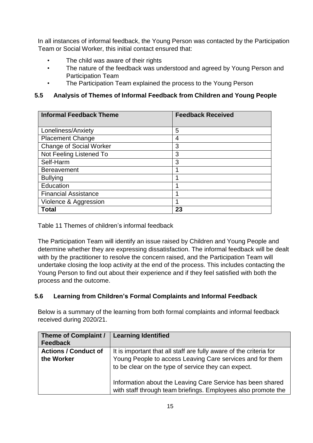In all instances of informal feedback, the Young Person was contacted by the Participation Team or Social Worker, this initial contact ensured that:

- The child was aware of their rights
- The nature of the feedback was understood and agreed by Young Person and Participation Team
- The Participation Team explained the process to the Young Person

#### **5.5 Analysis of Themes of Informal Feedback from Children and Young People**

| <b>Informal Feedback Theme</b> | <b>Feedback Received</b> |
|--------------------------------|--------------------------|
| Loneliness/Anxiety             | 5                        |
| <b>Placement Change</b>        | 4                        |
| <b>Change of Social Worker</b> | 3                        |
| Not Feeling Listened To        | 3                        |
| Self-Harm                      | 3                        |
| <b>Bereavement</b>             | 1                        |
| <b>Bullying</b>                | и                        |
| Education                      | и                        |
| <b>Financial Assistance</b>    | и                        |
| Violence & Aggression          | 1                        |
| <b>Total</b>                   | 23                       |

Table 11 Themes of children's informal feedback

The Participation Team will identify an issue raised by Children and Young People and determine whether they are expressing dissatisfaction. The informal feedback will be dealt with by the practitioner to resolve the concern raised, and the Participation Team will undertake closing the loop activity at the end of the process. This includes contacting the Young Person to find out about their experience and if they feel satisfied with both the process and the outcome.

#### **5.6 Learning from Children's Formal Complaints and Informal Feedback**

Below is a summary of the learning from both formal complaints and informal feedback received during 2020/21.

| <b>Theme of Complaint /</b><br><b>Feedback</b> | <b>Learning Identified</b>                                                                                                  |
|------------------------------------------------|-----------------------------------------------------------------------------------------------------------------------------|
| <b>Actions / Conduct of</b>                    | It is important that all staff are fully aware of the criteria for                                                          |
| the Worker                                     | Young People to access Leaving Care services and for them<br>to be clear on the type of service they can expect.            |
|                                                | Information about the Leaving Care Service has been shared<br>with staff through team briefings. Employees also promote the |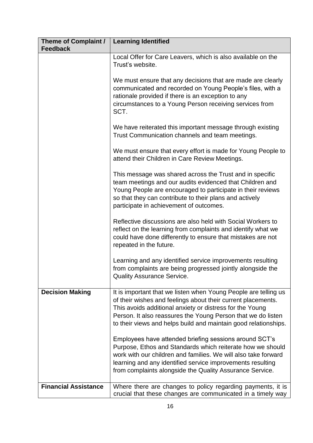| Theme of Complaint /<br><b>Feedback</b> | <b>Learning Identified</b>                                                                                                                                                                                                                                                                                                     |
|-----------------------------------------|--------------------------------------------------------------------------------------------------------------------------------------------------------------------------------------------------------------------------------------------------------------------------------------------------------------------------------|
|                                         | Local Offer for Care Leavers, which is also available on the<br>Trust's website.                                                                                                                                                                                                                                               |
|                                         | We must ensure that any decisions that are made are clearly<br>communicated and recorded on Young People's files, with a<br>rationale provided if there is an exception to any<br>circumstances to a Young Person receiving services from<br>SCT.                                                                              |
|                                         | We have reiterated this important message through existing<br>Trust Communication channels and team meetings.                                                                                                                                                                                                                  |
|                                         | We must ensure that every effort is made for Young People to<br>attend their Children in Care Review Meetings.                                                                                                                                                                                                                 |
|                                         | This message was shared across the Trust and in specific<br>team meetings and our audits evidenced that Children and<br>Young People are encouraged to participate in their reviews<br>so that they can contribute to their plans and actively<br>participate in achievement of outcomes.                                      |
|                                         | Reflective discussions are also held with Social Workers to<br>reflect on the learning from complaints and identify what we<br>could have done differently to ensure that mistakes are not<br>repeated in the future.                                                                                                          |
|                                         | Learning and any identified service improvements resulting<br>from complaints are being progressed jointly alongside the<br><b>Quality Assurance Service.</b>                                                                                                                                                                  |
| <b>Decision Making</b>                  | It is important that we listen when Young People are telling us<br>of their wishes and feelings about their current placements.<br>This avoids additional anxiety or distress for the Young<br>Person. It also reassures the Young Person that we do listen<br>to their views and helps build and maintain good relationships. |
|                                         | Employees have attended briefing sessions around SCT's<br>Purpose, Ethos and Standards which reiterate how we should<br>work with our children and families. We will also take forward<br>learning and any identified service improvements resulting<br>from complaints alongside the Quality Assurance Service.               |
| <b>Financial Assistance</b>             | Where there are changes to policy regarding payments, it is<br>crucial that these changes are communicated in a timely way                                                                                                                                                                                                     |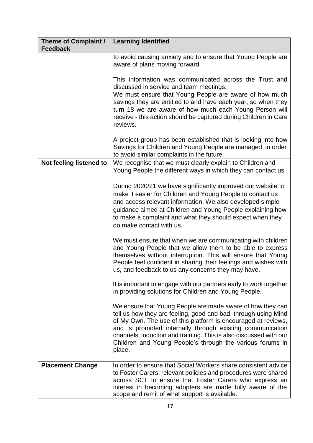| <b>Theme of Complaint /</b><br><b>Feedback</b> | <b>Learning Identified</b>                                                                                                                                                                                                                                                                                                                                                                             |
|------------------------------------------------|--------------------------------------------------------------------------------------------------------------------------------------------------------------------------------------------------------------------------------------------------------------------------------------------------------------------------------------------------------------------------------------------------------|
|                                                | to avoid causing anxiety and to ensure that Young People are<br>aware of plans moving forward.                                                                                                                                                                                                                                                                                                         |
|                                                | This information was communicated across the Trust and<br>discussed in service and team meetings.<br>We must ensure that Young People are aware of how much<br>savings they are entitled to and have each year, so when they<br>turn 18 we are aware of how much each Young Person will<br>receive - this action should be captured during Children in Care<br>reviews.                                |
|                                                | A project group has been established that is looking into how<br>Savings for Children and Young People are managed, in order<br>to avoid similar complaints in the future.                                                                                                                                                                                                                             |
| Not feeling listened to                        | We recognise that we must clearly explain to Children and<br>Young People the different ways in which they can contact us.                                                                                                                                                                                                                                                                             |
|                                                | During 2020/21 we have significantly improved our website to<br>make it easier for Children and Young People to contact us<br>and access relevant information. We also developed simple<br>guidance aimed at Children and Young People explaining how<br>to make a complaint and what they should expect when they<br>do make contact with us.                                                         |
|                                                | We must ensure that when we are communicating with children<br>and Young People that we allow them to be able to express<br>themselves without interruption. This will ensure that Young<br>People feel confident in sharing their feelings and wishes with<br>us, and feedback to us any concerns they may have.                                                                                      |
|                                                | It is important to engage with our partners early to work together<br>in providing solutions for Children and Young People.                                                                                                                                                                                                                                                                            |
|                                                | We ensure that Young People are made aware of how they can<br>tell us how they are feeling, good and bad, through using Mind<br>of My Own. The use of this platform is encouraged at reviews,<br>and is promoted internally through existing communication<br>channels, induction and training. This is also discussed with our<br>Children and Young People's through the various forums in<br>place. |
| <b>Placement Change</b>                        | In order to ensure that Social Workers share consistent advice<br>to Foster Carers, relevant policies and procedures were shared<br>across SCT to ensure that Foster Carers who express an<br>interest in becoming adopters are made fully aware of the<br>scope and remit of what support is available.                                                                                               |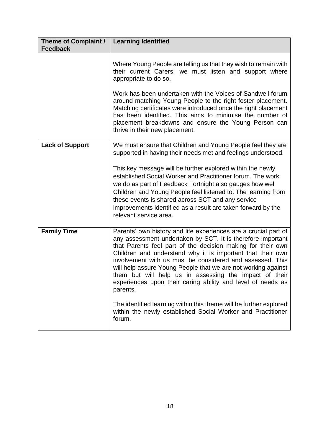| <b>Theme of Complaint /</b><br><b>Feedback</b> | <b>Learning Identified</b>                                                                                                                                                                                                                                                                                                                                                                                                                                                                                                     |
|------------------------------------------------|--------------------------------------------------------------------------------------------------------------------------------------------------------------------------------------------------------------------------------------------------------------------------------------------------------------------------------------------------------------------------------------------------------------------------------------------------------------------------------------------------------------------------------|
|                                                |                                                                                                                                                                                                                                                                                                                                                                                                                                                                                                                                |
|                                                | Where Young People are telling us that they wish to remain with<br>their current Carers, we must listen and support where<br>appropriate to do so.                                                                                                                                                                                                                                                                                                                                                                             |
|                                                | Work has been undertaken with the Voices of Sandwell forum<br>around matching Young People to the right foster placement.<br>Matching certificates were introduced once the right placement<br>has been identified. This aims to minimise the number of<br>placement breakdowns and ensure the Young Person can<br>thrive in their new placement.                                                                                                                                                                              |
| <b>Lack of Support</b>                         | We must ensure that Children and Young People feel they are<br>supported in having their needs met and feelings understood.                                                                                                                                                                                                                                                                                                                                                                                                    |
|                                                | This key message will be further explored within the newly<br>established Social Worker and Practitioner forum. The work<br>we do as part of Feedback Fortnight also gauges how well<br>Children and Young People feel listened to. The learning from<br>these events is shared across SCT and any service<br>improvements identified as a result are taken forward by the<br>relevant service area.                                                                                                                           |
| <b>Family Time</b>                             | Parents' own history and life experiences are a crucial part of<br>any assessment undertaken by SCT. It is therefore important<br>that Parents feel part of the decision making for their own<br>Children and understand why it is important that their own<br>involvement with us must be considered and assessed. This<br>will help assure Young People that we are not working against<br>them but will help us in assessing the impact of their<br>experiences upon their caring ability and level of needs as<br>parents. |
|                                                | The identified learning within this theme will be further explored<br>within the newly established Social Worker and Practitioner<br>forum.                                                                                                                                                                                                                                                                                                                                                                                    |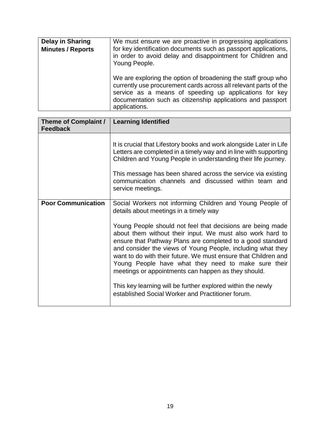| <b>Delay in Sharing</b><br><b>Minutes / Reports</b> | We must ensure we are proactive in progressing applications<br>for key identification documents such as passport applications,<br>in order to avoid delay and disappointment for Children and<br>Young People.                                                              |
|-----------------------------------------------------|-----------------------------------------------------------------------------------------------------------------------------------------------------------------------------------------------------------------------------------------------------------------------------|
|                                                     | We are exploring the option of broadening the staff group who<br>currently use procurement cards across all relevant parts of the<br>service as a means of speeding up applications for key<br>documentation such as citizenship applications and passport<br>applications. |

| <b>Theme of Complaint /</b><br><b>Feedback</b> | <b>Learning Identified</b>                                                                                                                                                                                                                                                                                                                                                                                                                                                                                                                               |
|------------------------------------------------|----------------------------------------------------------------------------------------------------------------------------------------------------------------------------------------------------------------------------------------------------------------------------------------------------------------------------------------------------------------------------------------------------------------------------------------------------------------------------------------------------------------------------------------------------------|
|                                                | It is crucial that Lifestory books and work alongside Later in Life<br>Letters are completed in a timely way and in line with supporting<br>Children and Young People in understanding their life journey.<br>This message has been shared across the service via existing<br>communication channels and discussed within team and<br>service meetings.                                                                                                                                                                                                  |
| <b>Poor Communication</b>                      | Social Workers not informing Children and Young People of<br>details about meetings in a timely way                                                                                                                                                                                                                                                                                                                                                                                                                                                      |
|                                                | Young People should not feel that decisions are being made<br>about them without their input. We must also work hard to<br>ensure that Pathway Plans are completed to a good standard<br>and consider the views of Young People, including what they<br>want to do with their future. We must ensure that Children and<br>Young People have what they need to make sure their<br>meetings or appointments can happen as they should.<br>This key learning will be further explored within the newly<br>established Social Worker and Practitioner forum. |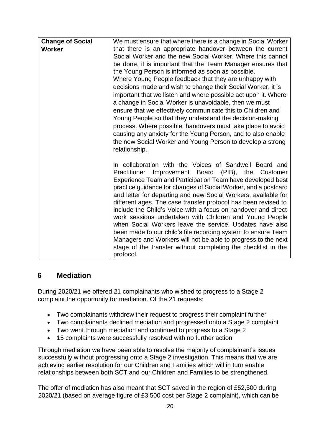| <b>Change of Social</b><br><b>Worker</b> | We must ensure that where there is a change in Social Worker<br>that there is an appropriate handover between the current<br>Social Worker and the new Social Worker. Where this cannot<br>be done, it is important that the Team Manager ensures that<br>the Young Person is informed as soon as possible.<br>Where Young People feedback that they are unhappy with<br>decisions made and wish to change their Social Worker, it is<br>important that we listen and where possible act upon it. Where<br>a change in Social Worker is unavoidable, then we must<br>ensure that we effectively communicate this to Children and<br>Young People so that they understand the decision-making<br>process. Where possible, handovers must take place to avoid                                 |
|------------------------------------------|---------------------------------------------------------------------------------------------------------------------------------------------------------------------------------------------------------------------------------------------------------------------------------------------------------------------------------------------------------------------------------------------------------------------------------------------------------------------------------------------------------------------------------------------------------------------------------------------------------------------------------------------------------------------------------------------------------------------------------------------------------------------------------------------|
|                                          | causing any anxiety for the Young Person, and to also enable<br>the new Social Worker and Young Person to develop a strong<br>relationship.                                                                                                                                                                                                                                                                                                                                                                                                                                                                                                                                                                                                                                                 |
|                                          | In collaboration with the Voices of Sandwell Board and<br>Practitioner Improvement Board (PIB), the<br>Customer<br>Experience Team and Participation Team have developed best<br>practice guidance for changes of Social Worker, and a postcard<br>and letter for departing and new Social Workers, available for<br>different ages. The case transfer protocol has been revised to<br>include the Child's Voice with a focus on handover and direct<br>work sessions undertaken with Children and Young People<br>when Social Workers leave the service. Updates have also<br>been made to our child's file recording system to ensure Team<br>Managers and Workers will not be able to progress to the next<br>stage of the transfer without completing the checklist in the<br>protocol. |

# **6 Mediation**

During 2020/21 we offered 21 complainants who wished to progress to a Stage 2 complaint the opportunity for mediation. Of the 21 requests:

- Two complainants withdrew their request to progress their complaint further
- Two complainants declined mediation and progressed onto a Stage 2 complaint
- Two went through mediation and continued to progress to a Stage 2
- 15 complaints were successfully resolved with no further action

Through mediation we have been able to resolve the majority of complainant's issues successfully without progressing onto a Stage 2 investigation. This means that we are achieving earlier resolution for our Children and Families which will in turn enable relationships between both SCT and our Children and Families to be strengthened.

The offer of mediation has also meant that SCT saved in the region of £52,500 during 2020/21 (based on average figure of £3,500 cost per Stage 2 complaint), which can be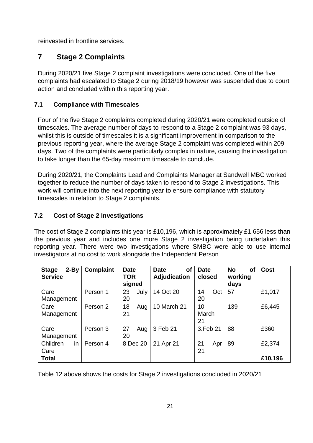reinvested in frontline services.

# **7 Stage 2 Complaints**

During 2020/21 five Stage 2 complaint investigations were concluded. One of the five complaints had escalated to Stage 2 during 2018/19 however was suspended due to court action and concluded within this reporting year.

## **7.1 Compliance with Timescales**

Four of the five Stage 2 complaints completed during 2020/21 were completed outside of timescales. The average number of days to respond to a Stage 2 complaint was 93 days, whilst this is outside of timescales it is a significant improvement in comparison to the previous reporting year, where the average Stage 2 complaint was completed within 209 days. Two of the complaints were particularly complex in nature, causing the investigation to take longer than the 65-day maximum timescale to conclude.

During 2020/21, the Complaints Lead and Complaints Manager at Sandwell MBC worked together to reduce the number of days taken to respond to Stage 2 investigations. This work will continue into the next reporting year to ensure compliance with statutory timescales in relation to Stage 2 complaints.

## **7.2 Cost of Stage 2 Investigations**

The cost of Stage 2 complaints this year is £10,196, which is approximately £1,656 less than the previous year and includes one more Stage 2 investigation being undertaken this reporting year. There were two investigations where SMBC were able to use internal investigators at no cost to work alongside the Independent Person

| <b>Stage</b><br>$2-By$<br><b>Service</b> | <b>Complaint</b> | <b>Date</b><br><b>TOR</b><br>signed | <b>of</b><br><b>Date</b><br>Adjudication | <b>Date</b><br>closed | <b>No</b><br>οf<br>working<br>days | <b>Cost</b> |
|------------------------------------------|------------------|-------------------------------------|------------------------------------------|-----------------------|------------------------------------|-------------|
| Care<br>Management                       | Person 1         | 23<br>July<br>20                    | 14 Oct 20                                | Oct<br>14<br>20       | 57                                 | £1,017      |
| Care<br>Management                       | Person 2         | 18<br>Aug<br>21                     | <b>10 March 21</b>                       | 10<br>March<br>21     | 139                                | £6,445      |
| Care<br>Management                       | Person 3         | 27<br>Aug<br>20                     | 3 Feb 21                                 | 3.Feb 21              | 88                                 | £360        |
| in<br>Children<br>Care                   | Person 4         | 8 Dec 20                            | 21 Apr 21                                | 21<br>Apr<br>21       | 89                                 | £2,374      |
| <b>Total</b>                             |                  |                                     |                                          |                       |                                    | £10,196     |

Table 12 above shows the costs for Stage 2 investigations concluded in 2020/21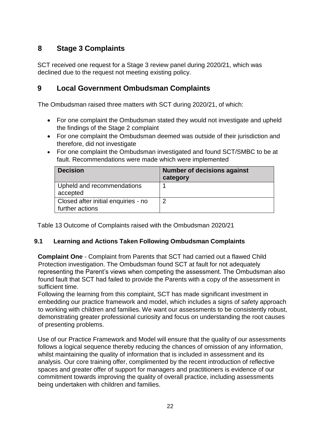# **8 Stage 3 Complaints**

SCT received one request for a Stage 3 review panel during 2020/21, which was declined due to the request not meeting existing policy.

# **9 Local Government Ombudsman Complaints**

The Ombudsman raised three matters with SCT during 2020/21, of which:

- For one complaint the Ombudsman stated they would not investigate and upheld the findings of the Stage 2 complaint
- For one complaint the Ombudsman deemed was outside of their jurisdiction and therefore, did not investigate
- For one complaint the Ombudsman investigated and found SCT/SMBC to be at fault. Recommendations were made which were implemented

| <b>Decision</b>                                        | <b>Number of decisions against</b><br>category |
|--------------------------------------------------------|------------------------------------------------|
| Upheld and recommendations<br>accepted                 |                                                |
| Closed after initial enquiries - no<br>further actions | ົ                                              |

Table 13 Outcome of Complaints raised with the Ombudsman 2020/21

# **9.1 Learning and Actions Taken Following Ombudsman Complaints**

**Complaint One** - Complaint from Parents that SCT had carried out a flawed Child Protection investigation. The Ombudsman found SCT at fault for not adequately representing the Parent's views when competing the assessment. The Ombudsman also found fault that SCT had failed to provide the Parents with a copy of the assessment in sufficient time.

Following the learning from this complaint, SCT has made significant investment in embedding our practice framework and model, which includes a signs of safety approach to working with children and families. We want our assessments to be consistently robust, demonstrating greater professional curiosity and focus on understanding the root causes of presenting problems.

Use of our Practice Framework and Model will ensure that the quality of our assessments follows a logical sequence thereby reducing the chances of omission of any information, whilst maintaining the quality of information that is included in assessment and its analysis. Our core training offer, complimented by the recent introduction of reflective spaces and greater offer of support for managers and practitioners is evidence of our commitment towards improving the quality of overall practice, including assessments being undertaken with children and families.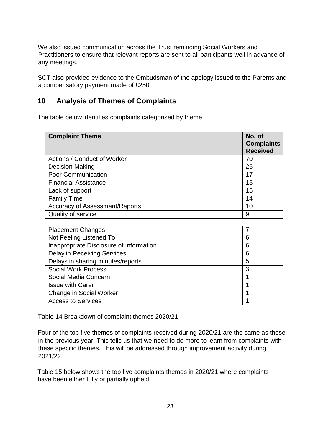We also issued communication across the Trust reminding Social Workers and Practitioners to ensure that relevant reports are sent to all participants well in advance of any meetings.

SCT also provided evidence to the Ombudsman of the apology issued to the Parents and a compensatory payment made of £250.

# **10 Analysis of Themes of Complaints**

The table below identifies complaints categorised by theme.

| <b>Complaint Theme</b>                | No. of<br><b>Complaints</b><br><b>Received</b> |
|---------------------------------------|------------------------------------------------|
| Actions / Conduct of Worker           | 70                                             |
| <b>Decision Making</b>                | 26                                             |
| Poor Communication                    | 17                                             |
| <b>Financial Assistance</b>           | 15                                             |
| Lack of support                       | 15                                             |
| <b>Family Time</b>                    | 14                                             |
| <b>Accuracy of Assessment/Reports</b> | 10                                             |
| Quality of service                    | 9                                              |

| <b>Placement Changes</b>                |   |
|-----------------------------------------|---|
| Not Feeling Listened To                 | 6 |
| Inappropriate Disclosure of Information | 6 |
| <b>Delay in Receiving Services</b>      | 6 |
| Delays in sharing minutes/reports       | 5 |
| <b>Social Work Process</b>              | 3 |
| Social Media Concern                    |   |
| <b>Issue with Carer</b>                 |   |
| <b>Change in Social Worker</b>          |   |
| <b>Access to Services</b>               |   |

Table 14 Breakdown of complaint themes 2020/21

Four of the top five themes of complaints received during 2020/21 are the same as those in the previous year. This tells us that we need to do more to learn from complaints with these specific themes. This will be addressed through improvement activity during 2021/22.

Table 15 below shows the top five complaints themes in 2020/21 where complaints have been either fully or partially upheld.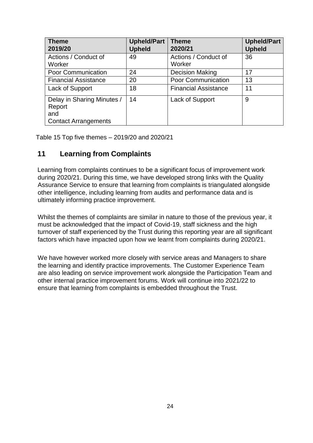| <b>Theme</b><br>2019/20                                                    | <b>Upheld/Part</b><br><b>Upheld</b> | <b>Theme</b><br>2020/21        | <b>Upheld/Part</b><br><b>Upheld</b> |
|----------------------------------------------------------------------------|-------------------------------------|--------------------------------|-------------------------------------|
| Actions / Conduct of<br>Worker                                             | 49                                  | Actions / Conduct of<br>Worker | 36                                  |
| <b>Poor Communication</b>                                                  | 24                                  | <b>Decision Making</b>         | 17                                  |
| <b>Financial Assistance</b>                                                | 20                                  | <b>Poor Communication</b>      | 13                                  |
| Lack of Support                                                            | 18                                  | <b>Financial Assistance</b>    | 11                                  |
| Delay in Sharing Minutes /<br>Report<br>and<br><b>Contact Arrangements</b> | 14                                  | Lack of Support                | 9                                   |

Table 15 Top five themes – 2019/20 and 2020/21

# **11 Learning from Complaints**

Learning from complaints continues to be a significant focus of improvement work during 2020/21. During this time, we have developed strong links with the Quality Assurance Service to ensure that learning from complaints is triangulated alongside other intelligence, including learning from audits and performance data and is ultimately informing practice improvement.

Whilst the themes of complaints are similar in nature to those of the previous year, it must be acknowledged that the impact of Covid-19, staff sickness and the high turnover of staff experienced by the Trust during this reporting year are all significant factors which have impacted upon how we learnt from complaints during 2020/21.

We have however worked more closely with service areas and Managers to share the learning and identify practice improvements. The Customer Experience Team are also leading on service improvement work alongside the Participation Team and other internal practice improvement forums. Work will continue into 2021/22 to ensure that learning from complaints is embedded throughout the Trust.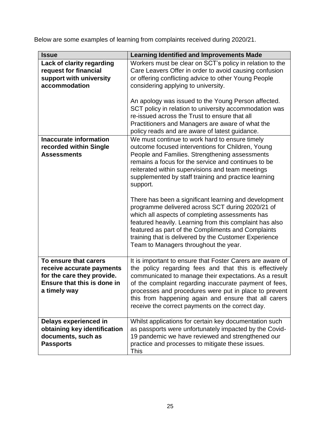Below are some examples of learning from complaints received during 2020/21.

| <b>Issue</b>                                                                                                                    | <b>Learning Identified and Improvements Made</b>                                                                                                                                                                                                                                                                                                                                                             |
|---------------------------------------------------------------------------------------------------------------------------------|--------------------------------------------------------------------------------------------------------------------------------------------------------------------------------------------------------------------------------------------------------------------------------------------------------------------------------------------------------------------------------------------------------------|
| <b>Lack of clarity regarding</b><br>request for financial<br>support with university<br>accommodation                           | Workers must be clear on SCT's policy in relation to the<br>Care Leavers Offer in order to avoid causing confusion<br>or offering conflicting advice to other Young People<br>considering applying to university.                                                                                                                                                                                            |
|                                                                                                                                 | An apology was issued to the Young Person affected.<br>SCT policy in relation to university accommodation was<br>re-issued across the Trust to ensure that all<br>Practitioners and Managers are aware of what the<br>policy reads and are aware of latest guidance.                                                                                                                                         |
| <b>Inaccurate information</b><br>recorded within Single<br><b>Assessments</b>                                                   | We must continue to work hard to ensure timely<br>outcome focused interventions for Children, Young<br>People and Families. Strengthening assessments<br>remains a focus for the service and continues to be<br>reiterated within supervisions and team meetings<br>supplemented by staff training and practice learning<br>support.                                                                         |
|                                                                                                                                 | There has been a significant learning and development<br>programme delivered across SCT during 2020/21 of<br>which all aspects of completing assessments has<br>featured heavily. Learning from this complaint has also<br>featured as part of the Compliments and Complaints<br>training that is delivered by the Customer Experience<br>Team to Managers throughout the year.                              |
| To ensure that carers<br>receive accurate payments<br>for the care they provide.<br>Ensure that this is done in<br>a timely way | It is important to ensure that Foster Carers are aware of<br>the policy regarding fees and that this is effectively<br>communicated to manage their expectations. As a result<br>of the complaint regarding inaccurate payment of fees,<br>processes and procedures were put in place to prevent<br>this from happening again and ensure that all carers<br>receive the correct payments on the correct day. |
| Delays experienced in<br>obtaining key identification<br>documents, such as<br><b>Passports</b>                                 | Whilst applications for certain key documentation such<br>as passports were unfortunately impacted by the Covid-<br>19 pandemic we have reviewed and strengthened our<br>practice and processes to mitigate these issues.<br>This                                                                                                                                                                            |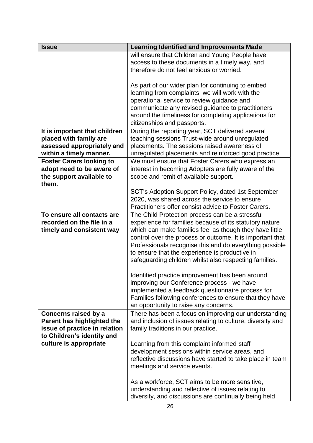| <b>Issue</b>                    | <b>Learning Identified and Improvements Made</b>           |
|---------------------------------|------------------------------------------------------------|
|                                 | will ensure that Children and Young People have            |
|                                 | access to these documents in a timely way, and             |
|                                 | therefore do not feel anxious or worried.                  |
|                                 |                                                            |
|                                 | As part of our wider plan for continuing to embed          |
|                                 | learning from complaints, we will work with the            |
|                                 | operational service to review guidance and                 |
|                                 | communicate any revised guidance to practitioners          |
|                                 | around the timeliness for completing applications for      |
|                                 | citizenships and passports.                                |
| It is important that children   | During the reporting year, SCT delivered several           |
| placed with family are          | teaching sessions Trust-wide around unregulated            |
| assessed appropriately and      | placements. The sessions raised awareness of               |
| within a timely manner.         | unregulated placements and reinforced good practice.       |
| <b>Foster Carers looking to</b> | We must ensure that Foster Carers who express an           |
| adopt need to be aware of       | interest in becoming Adopters are fully aware of the       |
| the support available to        | scope and remit of available support.                      |
| them.                           |                                                            |
|                                 | SCT's Adoption Support Policy, dated 1st September         |
|                                 | 2020, was shared across the service to ensure              |
|                                 | Practitioners offer consist advice to Foster Carers.       |
| To ensure all contacts are      | The Child Protection process can be a stressful            |
| recorded on the file in a       | experience for families because of its statutory nature    |
| timely and consistent way       | which can make families feel as though they have little    |
|                                 | control over the process or outcome. It is important that  |
|                                 | Professionals recognise this and do everything possible    |
|                                 | to ensure that the experience is productive in             |
|                                 | safeguarding children whilst also respecting families.     |
|                                 |                                                            |
|                                 | Identified practice improvement has been around            |
|                                 | improving our Conference process - we have                 |
|                                 | implemented a feedback questionnaire process for           |
|                                 | Families following conferences to ensure that they have    |
|                                 | an opportunity to raise any concerns.                      |
| Concerns raised by a            | There has been a focus on improving our understanding      |
| Parent has highlighted the      | and inclusion of issues relating to culture, diversity and |
| issue of practice in relation   | family traditions in our practice.                         |
| to Children's identity and      |                                                            |
| culture is appropriate          | Learning from this complaint informed staff                |
|                                 | development sessions within service areas, and             |
|                                 | reflective discussions have started to take place in team  |
|                                 | meetings and service events.                               |
|                                 |                                                            |
|                                 | As a workforce, SCT aims to be more sensitive,             |
|                                 | understanding and reflective of issues relating to         |
|                                 | diversity, and discussions are continually being held      |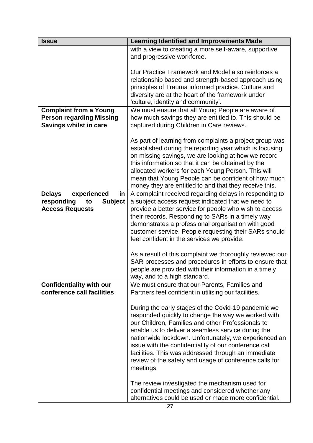| <b>Issue</b>                       | <b>Learning Identified and Improvements Made</b>                                                               |
|------------------------------------|----------------------------------------------------------------------------------------------------------------|
|                                    | with a view to creating a more self-aware, supportive                                                          |
|                                    | and progressive workforce.                                                                                     |
|                                    |                                                                                                                |
|                                    | Our Practice Framework and Model also reinforces a                                                             |
|                                    | relationship based and strength-based approach using                                                           |
|                                    | principles of Trauma informed practice. Culture and                                                            |
|                                    | diversity are at the heart of the framework under                                                              |
|                                    | 'culture, identity and community'.                                                                             |
| <b>Complaint from a Young</b>      | We must ensure that all Young People are aware of                                                              |
| <b>Person regarding Missing</b>    | how much savings they are entitled to. This should be                                                          |
| <b>Savings whilst in care</b>      | captured during Children in Care reviews.                                                                      |
|                                    |                                                                                                                |
|                                    | As part of learning from complaints a project group was                                                        |
|                                    | established during the reporting year which is focusing<br>on missing savings, we are looking at how we record |
|                                    | this information so that it can be obtained by the                                                             |
|                                    | allocated workers for each Young Person. This will                                                             |
|                                    | mean that Young People can be confident of how much                                                            |
|                                    | money they are entitled to and that they receive this.                                                         |
| experienced<br>in<br><b>Delays</b> | A complaint received regarding delays in responding to                                                         |
| <b>Subject</b><br>responding<br>to | a subject access request indicated that we need to                                                             |
| <b>Access Requests</b>             | provide a better service for people who wish to access                                                         |
|                                    | their records. Responding to SARs in a timely way                                                              |
|                                    | demonstrates a professional organisation with good                                                             |
|                                    | customer service. People requesting their SARs should                                                          |
|                                    | feel confident in the services we provide.                                                                     |
|                                    |                                                                                                                |
|                                    | As a result of this complaint we thoroughly reviewed our                                                       |
|                                    | SAR processes and procedures in efforts to ensure that                                                         |
|                                    | people are provided with their information in a timely                                                         |
|                                    | way, and to a high standard.                                                                                   |
| <b>Confidentiality with our</b>    | We must ensure that our Parents, Families and                                                                  |
| conference call facilities         | Partners feel confident in utilising our facilities.                                                           |
|                                    |                                                                                                                |
|                                    | During the early stages of the Covid-19 pandemic we                                                            |
|                                    | responded quickly to change the way we worked with<br>our Children, Families and other Professionals to        |
|                                    | enable us to deliver a seamless service during the                                                             |
|                                    | nationwide lockdown. Unfortunately, we experienced an                                                          |
|                                    | issue with the confidentiality of our conference call                                                          |
|                                    | facilities. This was addressed through an immediate                                                            |
|                                    | review of the safety and usage of conference calls for                                                         |
|                                    | meetings.                                                                                                      |
|                                    |                                                                                                                |
|                                    | The review investigated the mechanism used for                                                                 |
|                                    | confidential meetings and considered whether any                                                               |
|                                    | alternatives could be used or made more confidential.                                                          |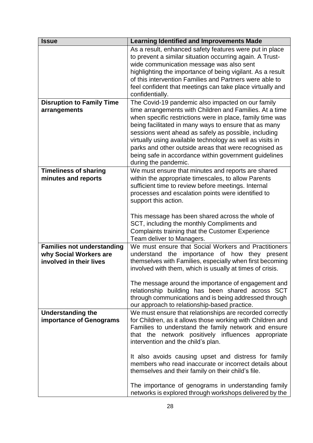| <b>Issue</b>                                                                           | <b>Learning Identified and Improvements Made</b>                                                                                                                                                                                                                                                                                                                                                                                                                                                                                                                     |
|----------------------------------------------------------------------------------------|----------------------------------------------------------------------------------------------------------------------------------------------------------------------------------------------------------------------------------------------------------------------------------------------------------------------------------------------------------------------------------------------------------------------------------------------------------------------------------------------------------------------------------------------------------------------|
|                                                                                        | As a result, enhanced safety features were put in place<br>to prevent a similar situation occurring again. A Trust-<br>wide communication message was also sent<br>highlighting the importance of being vigilant. As a result<br>of this intervention Families and Partners were able to<br>feel confident that meetings can take place virtually and<br>confidentially.                                                                                                                                                                                             |
| <b>Disruption to Family Time</b><br>arrangements                                       | The Covid-19 pandemic also impacted on our family<br>time arrangements with Children and Families. At a time<br>when specific restrictions were in place, family time was<br>being facilitated in many ways to ensure that as many<br>sessions went ahead as safely as possible, including<br>virtually using available technology as well as visits in<br>parks and other outside areas that were recognised as<br>being safe in accordance within government guidelines<br>during the pandemic.                                                                    |
| <b>Timeliness of sharing</b><br>minutes and reports                                    | We must ensure that minutes and reports are shared<br>within the appropriate timescales, to allow Parents<br>sufficient time to review before meetings. Internal<br>processes and escalation points were identified to<br>support this action.<br>This message has been shared across the whole of<br>SCT, including the monthly Compliments and<br>Complaints training that the Customer Experience<br>Team deliver to Managers.                                                                                                                                    |
| <b>Families not understanding</b><br>why Social Workers are<br>involved in their lives | We must ensure that Social Workers and Practitioners<br>the importance of how they<br>understand<br>present<br>themselves with Families, especially when first becoming<br>involved with them, which is usually at times of crisis.<br>The message around the importance of engagement and<br>relationship building has been shared across SCT<br>through communications and is being addressed through<br>our approach to relationship-based practice.                                                                                                              |
| <b>Understanding the</b><br><b>importance of Genograms</b>                             | We must ensure that relationships are recorded correctly<br>for Children, as it allows those working with Children and<br>Families to understand the family network and ensure<br>that the network positively influences appropriate<br>intervention and the child's plan.<br>It also avoids causing upset and distress for family<br>members who read inaccurate or incorrect details about<br>themselves and their family on their child's file.<br>The importance of genograms in understanding family<br>networks is explored through workshops delivered by the |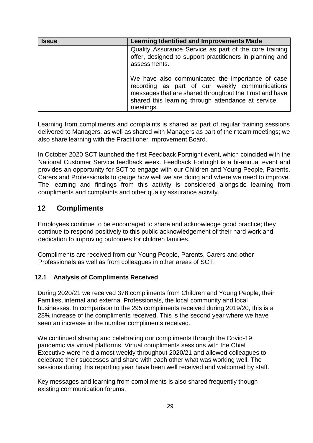| <b>Issue</b> | <b>Learning Identified and Improvements Made</b>                                                                                                                                                                                |
|--------------|---------------------------------------------------------------------------------------------------------------------------------------------------------------------------------------------------------------------------------|
|              | Quality Assurance Service as part of the core training<br>offer, designed to support practitioners in planning and<br>assessments.                                                                                              |
|              | We have also communicated the importance of case<br>recording as part of our weekly communications<br>messages that are shared throughout the Trust and have<br>shared this learning through attendance at service<br>meetings. |

Learning from compliments and complaints is shared as part of regular training sessions delivered to Managers, as well as shared with Managers as part of their team meetings; we also share learning with the Practitioner Improvement Board.

In October 2020 SCT launched the first Feedback Fortnight event, which coincided with the National Customer Service feedback week. Feedback Fortnight is a bi-annual event and provides an opportunity for SCT to engage with our Children and Young People, Parents, Carers and Professionals to gauge how well we are doing and where we need to improve. The learning and findings from this activity is considered alongside learning from compliments and complaints and other quality assurance activity.

# **12 Compliments**

Employees continue to be encouraged to share and acknowledge good practice; they continue to respond positively to this public acknowledgement of their hard work and dedication to improving outcomes for children families.

Compliments are received from our Young People, Parents, Carers and other Professionals as well as from colleagues in other areas of SCT.

#### **12.1 Analysis of Compliments Received**

During 2020/21 we received 378 compliments from Children and Young People, their Families, internal and external Professionals, the local community and local businesses. In comparison to the 295 compliments received during 2019/20, this is a 28% increase of the compliments received. This is the second year where we have seen an increase in the number compliments received.

We continued sharing and celebrating our compliments through the Covid-19 pandemic via virtual platforms. Virtual compliments sessions with the Chief Executive were held almost weekly throughout 2020/21 and allowed colleagues to celebrate their successes and share with each other what was working well. The sessions during this reporting year have been well received and welcomed by staff.

Key messages and learning from compliments is also shared frequently though existing communication forums.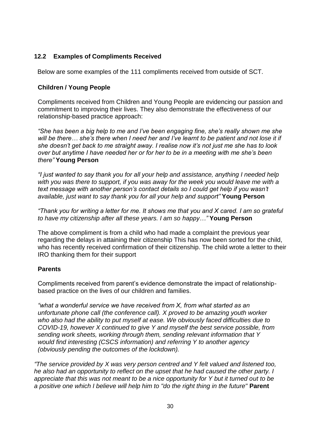## **12.2 Examples of Compliments Received**

Below are some examples of the 111 compliments received from outside of SCT.

#### **Children / Young People**

Compliments received from Children and Young People are evidencing our passion and commitment to improving their lives. They also demonstrate the effectiveness of our relationship-based practice approach:

*"She has been a big help to me and I've been engaging fine, she's really shown me she will be there… she's there when I need her and I've learnt to be patient and not lose it if she doesn't get back to me straight away. I realise now it's not just me she has to look over but anytime I have needed her or for her to be in a meeting with me she's been there"* **Young Person**

*"I just wanted to say thank you for all your help and assistance, anything I needed help with you was there to support, if you was away for the week you would leave me with a text message with another person's contact details so I could get help if you wasn't available, just want to say thank you for all your help and support"* **Young Person**

*"Thank you for writing a letter for me. It shows me that you and X cared. I am so grateful to have my citizenship after all these years. I am so happy…"* **Young Person**

The above compliment is from a child who had made a complaint the previous year regarding the delays in attaining their citizenship This has now been sorted for the child, who has recently received confirmation of their citizenship. The child wrote a letter to their IRO thanking them for their support

#### **Parents**

Compliments received from parent's evidence demonstrate the impact of relationshipbased practice on the lives of our children and families.

*"what a wonderful service we have received from X, from what started as an unfortunate phone call (the conference call). X proved to be amazing youth worker who also had the ability to put myself at ease. We obviously faced difficulties due to COVID-19, however X continued to give Y and myself the best service possible, from sending work sheets, working through them, sending relevant information that Y would find interesting (CSCS information) and referring Y to another agency (obviously pending the outcomes of the lockdown).*

*"The service provided by X was very person centred and Y felt valued and listened too, he also had an opportunity to reflect on the upset that he had caused the other party. I appreciate that this was not meant to be a nice opportunity for Y but it turned out to be a positive one which I believe will help him to "do the right thing in the future"* **Parent**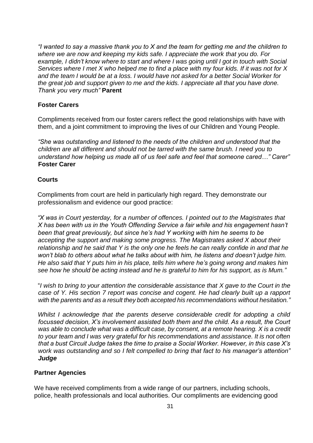*"I wanted to say a massive thank you to X and the team for getting me and the children to where we are now and keeping my kids safe. I appreciate the work that you do. For* example, I didn't know where to start and where I was going until I got in touch with Social *Services where I met X who helped me to find a place with my four kids. If it was not for X and the team I would be at a loss. I would have not asked for a better Social Worker for the great job and support given to me and the kids. I appreciate all that you have done. Thank you very much"* **Parent**

#### **Foster Carers**

Compliments received from our foster carers reflect the good relationships with have with them, and a joint commitment to improving the lives of our Children and Young People.

*"She was outstanding and listened to the needs of the children and understood that the children are all different and should not be tarred with the same brush. I need you to understand how helping us made all of us feel safe and feel that someone cared…" Carer"* **Foster Carer**

#### **Courts**

Compliments from court are held in particularly high regard. They demonstrate our professionalism and evidence our good practice:

*"X was in Court yesterday, for a number of offences. I pointed out to the Magistrates that X has been with us in the Youth Offending Service a fair while and his engagement hasn't been that great previously, but since he's had Y working with him he seems to be accepting the support and making some progress. The Magistrates asked X about their relationship and he said that Y is the only one he feels he can really confide in and that he won't blab to others about what he talks about with him, he listens and doesn't judge him. He also said that Y puts him in his place, tells him where he's going wrong and makes him see how he should be acting instead and he is grateful to him for his support, as is Mum."*

"*I wish to bring to your attention the considerable assistance that X gave to the Court in the case of Y. His section 7 report was concise and cogent. He had clearly built up a rapport with the parents and as a result they both accepted his recommendations without hesitation."*

*Whilst I acknowledge that the parents deserve considerable credit for adopting a child focussed decision, X's involvement assisted both them and the child. As a result, the Court was able to conclude what was a difficult case, by consent, at a remote hearing. X is a credit to your team and I was very grateful for his recommendations and assistance. It is not often that a bust Circuit Judge takes the time to praise a Social Worker. However, in this case X's work was outstanding and so I felt compelled to bring that fact to his manager's attention" Judge*

#### **Partner Agencies**

We have received compliments from a wide range of our partners, including schools, police, health professionals and local authorities. Our compliments are evidencing good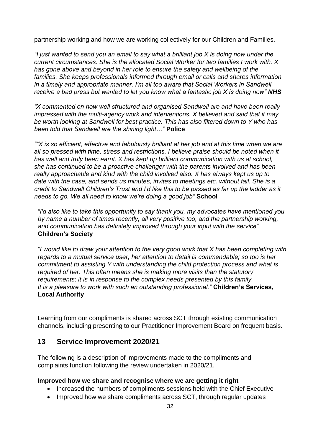partnership working and how we are working collectively for our Children and Families.

*"I just wanted to send you an email to say what a brilliant job X is doing now under the current circumstances. She is the allocated Social Worker for two families I work with. X has gone above and beyond in her role to ensure the safety and wellbeing of the families. She keeps professionals informed through email or calls and shares information in a timely and appropriate manner. I'm all too aware that Social Workers in Sandwell receive a bad press but wanted to let you know what a fantastic job X is doing now" NHS* 

*"X commented on how well structured and organised Sandwell are and have been really impressed with the multi-agency work and interventions. X believed and said that it may be worth looking at Sandwell for best practice. This has also filtered down to Y who has been told that Sandwell are the shining light…"* **Police**

*""X is so efficient, effective and fabulously brilliant at her job and at this time when we are all so pressed with time, stress and restrictions, I believe praise should be noted when it has well and truly been earnt. X has kept up brilliant communication with us at school, she has continued to be a proactive challenger with the parents involved and has been really approachable and kind with the child involved also. X has always kept us up to date with the case, and sends us minutes, invites to meetings etc. without fail. She is a credit to Sandwell Children's Trust and I'd like this to be passed as far up the ladder as it needs to go. We all need to know we're doing a good job"* **School**

*"I'd also like to take this opportunity to say thank you, my advocates have mentioned you by name a number of times recently, all very positive too, and the partnership working, and communication has definitely improved through your input with the service"* **Children's Society**

*"I would like to draw your attention to the very good work that X has been completing with regards to a mutual service user, her attention to detail is commendable; so too is her commitment to assisting Y with understanding the child protection process and what is required of her. This often means she is making more visits than the statutory requirements; it is in response to the complex needs presented by this family. It is a pleasure to work with such an outstanding professional."* **Children's Services, Local Authority**

Learning from our compliments is shared across SCT through existing communication channels, including presenting to our Practitioner Improvement Board on frequent basis.

# **13 Service Improvement 2020/21**

The following is a description of improvements made to the compliments and complaints function following the review undertaken in 2020/21.

#### **Improved how we share and recognise where we are getting it right**

- Increased the numbers of compliments sessions held with the Chief Executive
- Improved how we share compliments across SCT, through regular updates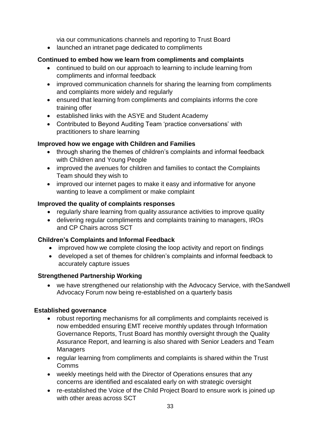via our communications channels and reporting to Trust Board

• launched an intranet page dedicated to compliments

## **Continued to embed how we learn from compliments and complaints**

- continued to build on our approach to learning to include learning from compliments and informal feedback
- improved communication channels for sharing the learning from compliments and complaints more widely and regularly
- ensured that learning from compliments and complaints informs the core training offer
- established links with the ASYE and Student Academy
- Contributed to Beyond Auditing Team 'practice conversations' with practitioners to share learning

## **Improved how we engage with Children and Families**

- through sharing the themes of children's complaints and informal feedback with Children and Young People
- improved the avenues for children and families to contact the Complaints Team should they wish to
- improved our internet pages to make it easy and informative for anyone wanting to leave a compliment or make complaint

## **Improved the quality of complaints responses**

- regularly share learning from quality assurance activities to improve quality
- delivering regular compliments and complaints training to managers, IROs and CP Chairs across SCT

#### **Children's Complaints and Informal Feedback**

- improved how we complete closing the loop activity and report on findings
- developed a set of themes for children's complaints and informal feedback to accurately capture issues

#### **Strengthened Partnership Working**

• we have strengthened our relationship with the Advocacy Service, with the Sandwell Advocacy Forum now being re-established on a quarterly basis

#### **Established governance**

- robust reporting mechanisms for all compliments and complaints received is now embedded ensuring EMT receive monthly updates through Information Governance Reports, Trust Board has monthly oversight through the Quality Assurance Report, and learning is also shared with Senior Leaders and Team **Managers**
- regular learning from compliments and complaints is shared within the Trust Comms
- weekly meetings held with the Director of Operations ensures that any concerns are identified and escalated early on with strategic oversight
- re-established the Voice of the Child Project Board to ensure work is joined up with other areas across SCT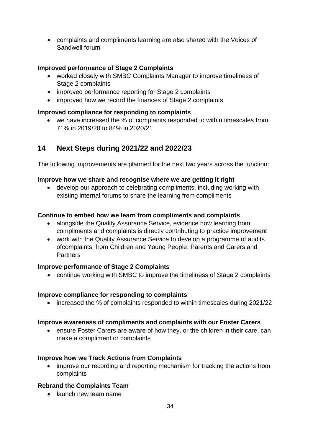• complaints and compliments learning are also shared with the Voices of Sandwell forum

#### **Improved performance of Stage 2 Complaints**

- worked closely with SMBC Complaints Manager to improve timeliness of Stage 2 complaints
- improved performance reporting for Stage 2 complaints
- improved how we record the finances of Stage 2 complaints

#### **Improved compliance for responding to complaints**

• we have increased the % of complaints responded to within timescales from 71% in 2019/20 to 84% in 2020/21

# **14 Next Steps during 2021/22 and 2022/23**

The following improvements are planned for the next two years across the function:

## **Improve how we share and recognise where we are getting it right**

• develop our approach to celebrating compliments, including working with existing internal forums to share the learning from compliments

## **Continue to embed how we learn from compliments and complaints**

- alongside the Quality Assurance Service, evidence how learning from compliments and complaints is directly contributing to practice improvement
- work with the Quality Assurance Service to develop a programme of audits ofcomplaints, from Children and Young People, Parents and Carers and **Partners**

#### **Improve performance of Stage 2 Complaints**

• continue working with SMBC to improve the timeliness of Stage 2 complaints

#### **Improve compliance for responding to complaints**

• increased the % of complaints responded to within timescales during 2021/22

#### **Improve awareness of compliments and complaints with our Foster Carers**

• ensure Foster Carers are aware of how they, or the children in their care, can make a compliment or complaints

#### **Improve how we Track Actions from Complaints**

• improve our recording and reporting mechanism for tracking the actions from complaints

# **Rebrand the Complaints Team**

• launch new team name